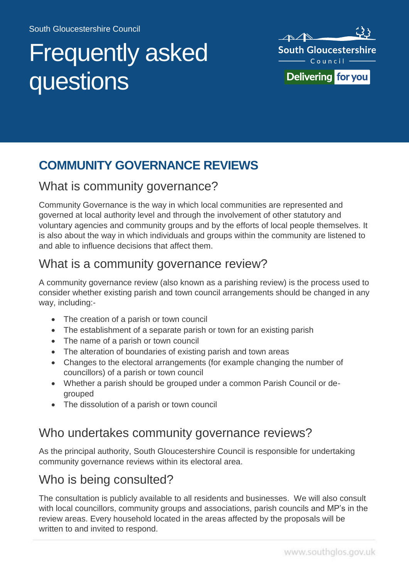# Frequently asked questions



# **COMMUNITY GOVERNANCE REVIEWS**

#### What is community governance?

Community Governance is the way in which local communities are represented and governed at local authority level and through the involvement of other statutory and voluntary agencies and community groups and by the efforts of local people themselves. It is also about the way in which individuals and groups within the community are listened to and able to influence decisions that affect them.

#### What is a community governance review?

A community governance review (also known as a parishing review) is the process used to consider whether existing parish and town council arrangements should be changed in any way, including:-

- The creation of a parish or town council
- The establishment of a separate parish or town for an existing parish
- The name of a parish or town council
- The alteration of boundaries of existing parish and town areas
- Changes to the electoral arrangements (for example changing the number of councillors) of a parish or town council
- Whether a parish should be grouped under a common Parish Council or degrouped
- The dissolution of a parish or town council

#### Who undertakes community governance reviews?

As the principal authority, South Gloucestershire Council is responsible for undertaking community governance reviews within its electoral area.

#### Who is being consulted?

The consultation is publicly available to all residents and businesses. We will also consult with local councillors, community groups and associations, parish councils and MP's in the review areas. Every household located in the areas affected by the proposals will be written to and invited to respond.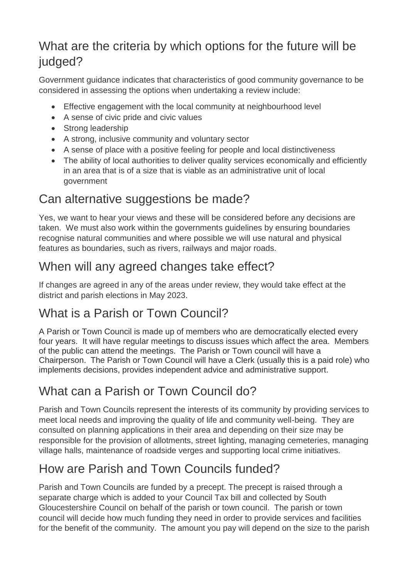# What are the criteria by which options for the future will be judged?

Government guidance indicates that characteristics of good community governance to be considered in assessing the options when undertaking a review include:

- Effective engagement with the local community at neighbourhood level
- A sense of civic pride and civic values
- Strong leadership
- A strong, inclusive community and voluntary sector
- A sense of place with a positive feeling for people and local distinctiveness
- The ability of local authorities to deliver quality services economically and efficiently in an area that is of a size that is viable as an administrative unit of local government

# Can alternative suggestions be made?

Yes, we want to hear your views and these will be considered before any decisions are taken. We must also work within the governments guidelines by ensuring boundaries recognise natural communities and where possible we will use natural and physical features as boundaries, such as rivers, railways and major roads.

#### When will any agreed changes take effect?

If changes are agreed in any of the areas under review, they would take effect at the district and parish elections in May 2023.

# What is a Parish or Town Council?

A Parish or Town Council is made up of members who are democratically elected every four years. It will have regular meetings to discuss issues which affect the area. Members of the public can attend the meetings. The Parish or Town council will have a Chairperson. The Parish or Town Council will have a Clerk (usually this is a paid role) who implements decisions, provides independent advice and administrative support.

# What can a Parish or Town Council do?

Parish and Town Councils represent the interests of its community by providing services to meet local needs and improving the quality of life and community well-being. They are consulted on planning applications in their area and depending on their size may be responsible for the provision of allotments, street lighting, managing cemeteries, managing village halls, maintenance of roadside verges and supporting local crime initiatives.

# How are Parish and Town Councils funded?

Parish and Town Councils are funded by a precept. The precept is raised through a separate charge which is added to your Council Tax bill and collected by South Gloucestershire Council on behalf of the parish or town council. The parish or town council will decide how much funding they need in order to provide services and facilities for the benefit of the community. The amount you pay will depend on the size to the parish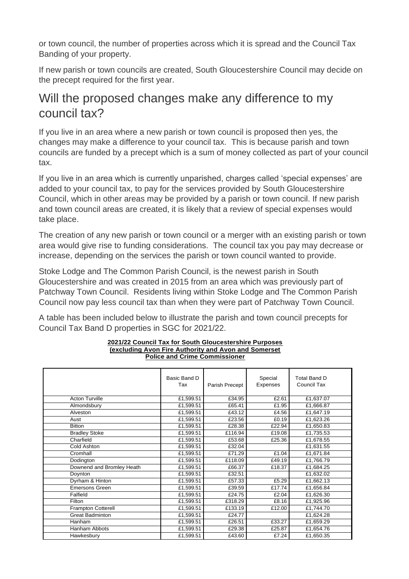or town council, the number of properties across which it is spread and the Council Tax Banding of your property.

If new parish or town councils are created, South Gloucestershire Council may decide on the precept required for the first year.

#### Will the proposed changes make any difference to my council tax?

If you live in an area where a new parish or town council is proposed then yes, the changes may make a difference to your council tax. This is because parish and town councils are funded by a precept which is a sum of money collected as part of your council tax.

If you live in an area which is currently unparished, charges called 'special expenses' are added to your council tax, to pay for the services provided by South Gloucestershire Council, which in other areas may be provided by a parish or town council. If new parish and town council areas are created, it is likely that a review of special expenses would take place.

The creation of any new parish or town council or a merger with an existing parish or town area would give rise to funding considerations. The council tax you pay may decrease or increase, depending on the services the parish or town council wanted to provide.

Stoke Lodge and The Common Parish Council, is the newest parish in South Gloucestershire and was created in 2015 from an area which was previously part of Patchway Town Council. Residents living within Stoke Lodge and The Common Parish Council now pay less council tax than when they were part of Patchway Town Council.

A table has been included below to illustrate the parish and town council precepts for Council Tax Band D properties in SGC for 2021/22.

|                           | Basic Band D<br>Tax | Parish Precept | Special<br>Expenses | <b>Total Band D</b><br>Council Tax |
|---------------------------|---------------------|----------------|---------------------|------------------------------------|
| <b>Acton Turville</b>     | £1,599.51           | £34.95         | £2.61               | £1,637.07                          |
| Almondsbury               | £1,599.51           | £65.41         | £1.95               | £1,666.87                          |
| Alveston                  | £1,599.51           | £43.12         | £4.56               | £1,647.19                          |
| Aust                      | £1,599.51           | £23.56         | £0.19               | £1,623.26                          |
| <b>Bitton</b>             | £1,599.51           | £28.38         | £22.94              | £1,650.83                          |
| <b>Bradley Stoke</b>      | £1,599.51           | £116.94        | £19.08              | £1,735.53                          |
| Charfield                 | £1,599.51           | £53.68         | £25.36              | £1,678.55                          |
| Cold Ashton               | £1,599.51           | £32.04         |                     | £1,631.55                          |
| Cromhall                  | £1,599.51           | £71.29         | £1.04               | £1,671.84                          |
| Dodington                 | £1,599.51           | £118.09        | £49.19              | £1,766.79                          |
| Downend and Bromley Heath | £1,599.51           | £66.37         | £18.37              | £1,684.25                          |
| Doynton                   | £1,599.51           | £32.51         |                     | £1,632.02                          |
| Dyrham & Hinton           | £1,599.51           | £57.33         | £5.29               | £1,662.13                          |
| <b>Emersons Green</b>     | £1,599.51           | £39.59         | £17.74              | £1,656.84                          |
| Falfield                  | £1,599.51           | £24.75         | £2.04               | £1,626.30                          |
| Filton                    | £1,599.51           | £318.29        | £8.16               | £1,925.96                          |
| <b>Frampton Cotterell</b> | £1,599.51           | £133.19        | £12.00              | £1,744.70                          |
| <b>Great Badminton</b>    | £1,599.51           | £24.77         |                     | £1,624.28                          |
| Hanham                    | £1,599.51           | £26.51         | £33.27              | £1,659.29                          |
| Hanham Abbots             | £1,599.51           | £29.38         | £25.87              | £1,654.76                          |
| Hawkesbury                | £1,599.51           | £43.60         | £7.24               | £1,650.35                          |

#### **2021/22 Council Tax for South Gloucestershire Purposes (excluding Avon Fire Authority and Avon and Somerset Police and Crime Commissioner**